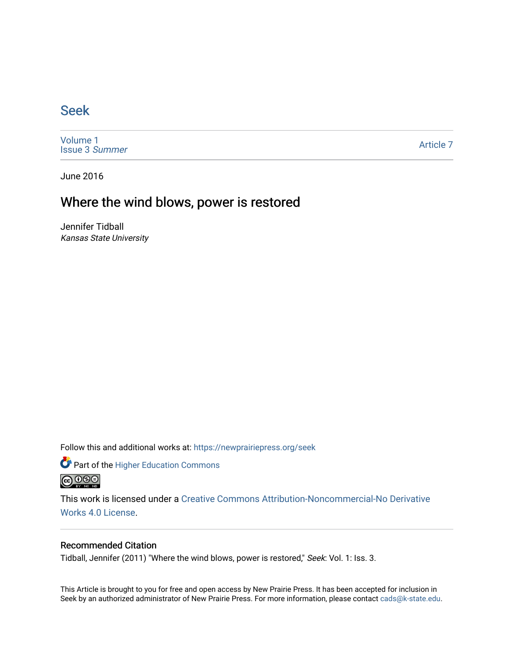## [Seek](https://newprairiepress.org/seek)

[Volume 1](https://newprairiepress.org/seek/vol1) [Issue 3](https://newprairiepress.org/seek/vol1/iss3) Summer

[Article 7](https://newprairiepress.org/seek/vol1/iss3/7) 

June 2016

# Where the wind blows, power is restored

Jennifer Tidball Kansas State University

Follow this and additional works at: [https://newprairiepress.org/seek](https://newprairiepress.org/seek?utm_source=newprairiepress.org%2Fseek%2Fvol1%2Fiss3%2F7&utm_medium=PDF&utm_campaign=PDFCoverPages)

Part of the [Higher Education Commons](http://network.bepress.com/hgg/discipline/1245?utm_source=newprairiepress.org%2Fseek%2Fvol1%2Fiss3%2F7&utm_medium=PDF&utm_campaign=PDFCoverPages) 



This work is licensed under a [Creative Commons Attribution-Noncommercial-No Derivative](https://creativecommons.org/licenses/by-nc-nd/4.0/)  [Works 4.0 License](https://creativecommons.org/licenses/by-nc-nd/4.0/).

### Recommended Citation

Tidball, Jennifer (2011) "Where the wind blows, power is restored," Seek: Vol. 1: Iss. 3.

This Article is brought to you for free and open access by New Prairie Press. It has been accepted for inclusion in Seek by an authorized administrator of New Prairie Press. For more information, please contact [cads@k-state.edu](mailto:cads@k-state.edu).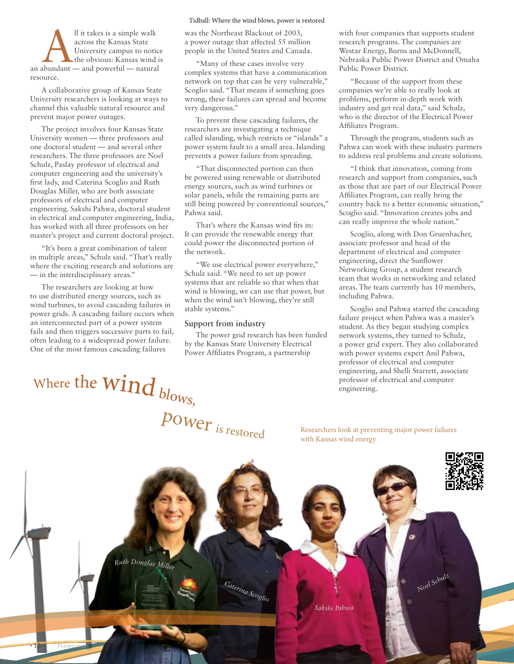Il it takes is a simple walk<br>
across the Kansas State<br>
University campus to notice<br>
the obvious: Kansas wind is<br>
an abundant — and powerful — natural across the Kansas State University campus to notice the obvious: Kansas wind is resource.

A collaborative group of Kansas State University researchers is looking at ways to channel this valuable natural resource and prevent major power outages.

The project involves four Kansas State University women — three professors and one doctoral student — and several other researchers. The three professors are Noel Schulz, Paslay professor of electrical and computer engineering and the university's first lady, and Caterina Scoglio and Ruth Douglas Miller, who are both associate professors of electrical and computer engineering. Sakshi Pahwa, doctoral student in electrical and computer engineering, India, has worked with all three professors on her master's project and current doctoral project.

"It's been a great combination of talent in multiple areas," Schulz said. "That's really where the exciting research and solutions are — in the interdisciplinary areas."

The researchers are looking at how to use distributed energy sources, such as wind turbines, to avoid cascading failures in power grids. A cascading failure occurs when an interconnected part of a power system fails and then triggers successive parts to fail, often leading to a widespread power failure. One of the most famous cascading failures

#### Tidball: Where the wind blows, power is restored

was the Northeast Blackout of 2003, a power outage that affected 55 million people in the United States and Canada.

"Many of these cases involve very complex systems that have a communication network on top that can be very vulnerable," Scoglio said. "That means if something goes wrong, these failures can spread and become very dangerous."

To prevent these cascading failures, the researchers are investigating a technique called islanding, which restricts or "islands" a power system fault to a small area. Islanding prevents a power failure from spreading.

"That disconnected portion can then be powered using renewable or distributed energy sources, such as wind turbines or solar panels, while the remaining parts are still being powered by conventional sources," Pahwa said.

That's where the Kansas wind fits in: It can provide the renewable energy that could power the disconnected portion of the network.

"We use electrical power everywhere," Schulz said. "We need to set up power systems that are reliable so that when that wind is blowing, we can use that power, but when the wind isn't blowing, they're still stable systems."

#### **Support from industry**

The power grid research has been funded by the Kansas State University Electrical Power Affiliates Program, a partnership

with four companies that supports student research programs. The companies are Westar Energy, Burns and McDonnell, Nebraska Public Power District and Omaha Public Power District.

"Because of the support from these companies we're able to really look at problems, perform in-depth work with industry and get real data," said Schulz, who is the director of the Electrical Power Affiliates Program.

Through the program, students such as Pahwa can work with these industry partners to address real problems and create solutions.

"I think that innovation, coming from research and support from companies, such as those that are part of our Electrical Power Affiliates Program, can really bring the country back to a better economic situation," Scoglio said. "Innovation creates jobs and can really improve the whole nation."

Scoglio, along with Don Gruenbacher, associate professor and head of the department of electrical and computer engineering, direct the Sunflower Networking Group, a student research team that works in networking and related areas. The team currently has 10 members, including Pahwa.

Scoglio and Pahwa started the cascading failure project when Pahwa was a master's student. As they began studying complex network systems, they turned to Schulz, a power grid expert. They also collaborated with power systems expert Anil Pahwa, professor of electrical and computer engineering, and Shelli Starrett, associate professor of electrical and computer engineering.

where the WIIIA  $b_{\text{lows}}$ , power is restored Where the  $\mathop{\rm wind}\nolimits_{bl_{\rm O_{WS,b}}}$ 

Researchers look at preventing major power failures with Kansas wind energy